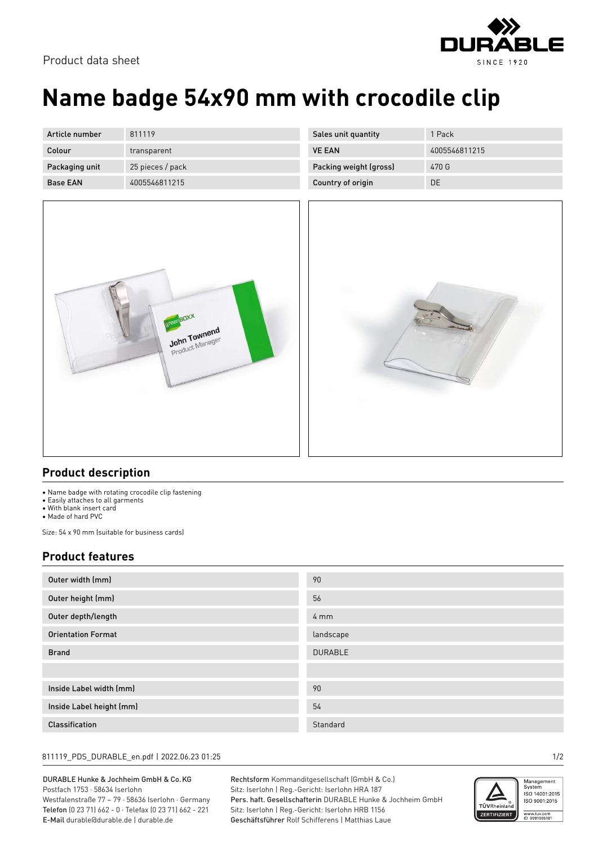



# **Name badge 54x90 mm with crocodile clip**

| Article number  | 811119           |
|-----------------|------------------|
| Colour          | transparent      |
| Packaging unit  | 25 pieces / pack |
| <b>Base FAN</b> | 4005546811215    |

| Sales unit quantity    | 1 Pack        |
|------------------------|---------------|
| <b>VE FAN</b>          | 4005546811215 |
| Packing weight (gross) | 470 G         |
| Country of origin      | DF            |
|                        |               |



### **Product description**

- Name badge with rotating crocodile clip fastening
- Easily attaches to all garments
- With blank insert card
- Made of hard PVC

Size: 54 x 90 mm (suitable for business cards)

### **Product features**

| Outer width (mm)          | 90               |
|---------------------------|------------------|
| Outer height (mm)         | 56               |
| Outer depth/length        | $4 \, \text{mm}$ |
| <b>Orientation Format</b> | landscape        |
| <b>Brand</b>              | <b>DURABLE</b>   |
|                           |                  |
| Inside Label width (mm)   | 90               |
| Inside Label height (mm)  | 54               |
| <b>Classification</b>     | Standard         |

#### 811119\_PDS\_DURABLE\_en.pdf | 2022.06.23 01:25 1/2

DURABLE Hunke & Jochheim GmbH & Co.KG Postfach 1753 · 58634 Iserlohn Westfalenstraße 77 – 79 · 58636 Iserlohn · Germany Telefon (0 23 71) 662 - 0 · Telefax (0 23 71) 662 - 221 E-Mail durable@durable.de | durable.de

Rechtsform Kommanditgesellschaft (GmbH & Co.) Sitz: Iserlohn | Reg.-Gericht: Iserlohn HRA 187 Pers. haft. Gesellschafterin DURABLE Hunke & Jochheim GmbH Sitz: Iserlohn | Reg.-Gericht: Iserlohn HRB 1156 Geschäftsführer Rolf Schifferens | Matthias Laue